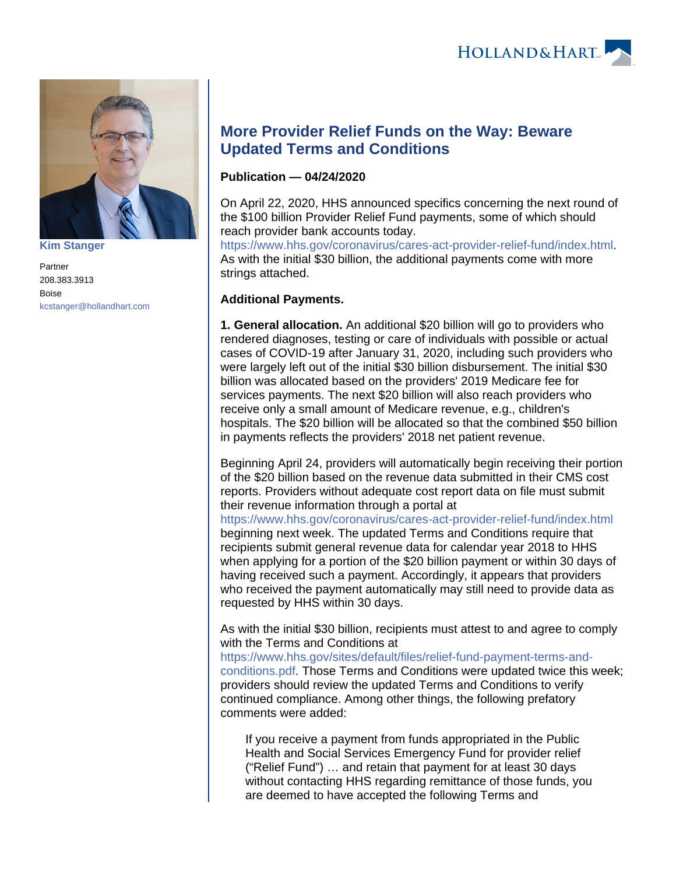



**[Kim Stanger](https://www.hollandhart.com/15954)**

Partner 208.383.3913 Boise [kcstanger@hollandhart.com](mailto:kcstanger@hollandhart.com)

## **More Provider Relief Funds on the Way: Beware Updated Terms and Conditions**

## **Publication — 04/24/2020**

On April 22, 2020, HHS announced specifics concerning the next round of the \$100 billion Provider Relief Fund payments, some of which should reach provider bank accounts today.

[https://www.hhs.gov/coronavirus/cares-act-provider-relief-fund/index.html.](https://www.hhs.gov/coronavirus/cares-act-provider-relief-fund/index.html) As with the initial \$30 billion, the additional payments come with more strings attached.

## **Additional Payments.**

**1. General allocation.** An additional \$20 billion will go to providers who rendered diagnoses, testing or care of individuals with possible or actual cases of COVID-19 after January 31, 2020, including such providers who were largely left out of the initial \$30 billion disbursement. The initial \$30 billion was allocated based on the providers' 2019 Medicare fee for services payments. The next \$20 billion will also reach providers who receive only a small amount of Medicare revenue, e.g., children's hospitals. The \$20 billion will be allocated so that the combined \$50 billion in payments reflects the providers' 2018 net patient revenue.

Beginning April 24, providers will automatically begin receiving their portion of the \$20 billion based on the revenue data submitted in their CMS cost reports. Providers without adequate cost report data on file must submit their revenue information through a portal at

<https://www.hhs.gov/coronavirus/cares-act-provider-relief-fund/index.html> beginning next week. The updated Terms and Conditions require that recipients submit general revenue data for calendar year 2018 to HHS when applying for a portion of the \$20 billion payment or within 30 days of having received such a payment. Accordingly, it appears that providers who received the payment automatically may still need to provide data as requested by HHS within 30 days.

As with the initial \$30 billion, recipients must attest to and agree to comply with the Terms and Conditions at

[https://www.hhs.gov/sites/default/files/relief-fund-payment-terms-and](https://www.hhs.gov/sites/default/files/relief-fund-payment-terms-and-conditions.pdf)[conditions.pdf.](https://www.hhs.gov/sites/default/files/relief-fund-payment-terms-and-conditions.pdf) Those Terms and Conditions were updated twice this week; providers should review the updated Terms and Conditions to verify continued compliance. Among other things, the following prefatory comments were added:

If you receive a payment from funds appropriated in the Public Health and Social Services Emergency Fund for provider relief ("Relief Fund") … and retain that payment for at least 30 days without contacting HHS regarding remittance of those funds, you are deemed to have accepted the following Terms and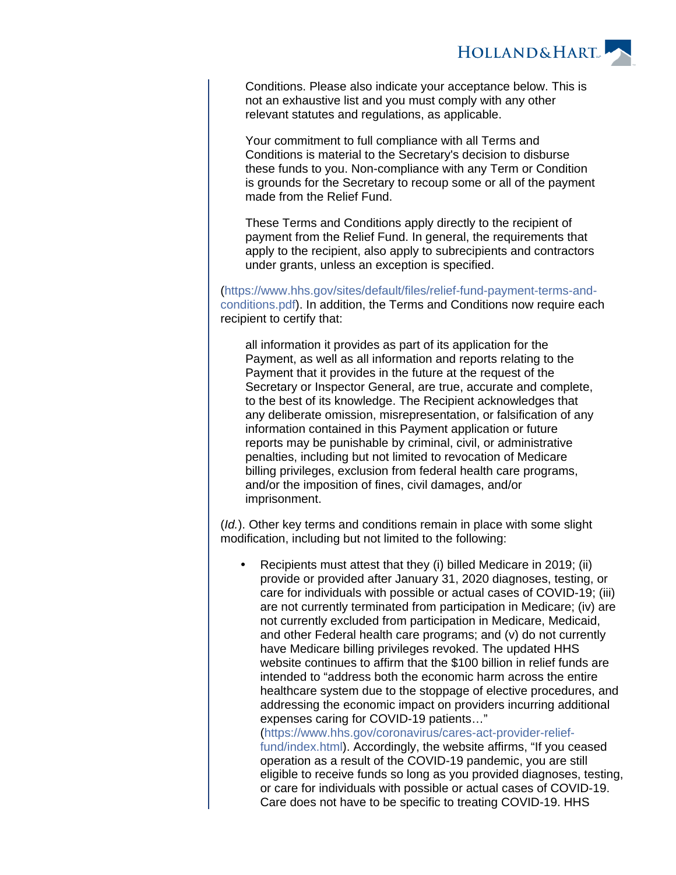

Conditions. Please also indicate your acceptance below. This is not an exhaustive list and you must comply with any other relevant statutes and regulations, as applicable.

Your commitment to full compliance with all Terms and Conditions is material to the Secretary's decision to disburse these funds to you. Non-compliance with any Term or Condition is grounds for the Secretary to recoup some or all of the payment made from the Relief Fund.

These Terms and Conditions apply directly to the recipient of payment from the Relief Fund. In general, the requirements that apply to the recipient, also apply to subrecipients and contractors under grants, unless an exception is specified.

[\(https://www.hhs.gov/sites/default/files/relief-fund-payment-terms-and](https://www.hhs.gov/sites/default/files/relief-fund-payment-terms-and-conditions.pdf)[conditions.pdf\)](https://www.hhs.gov/sites/default/files/relief-fund-payment-terms-and-conditions.pdf). In addition, the Terms and Conditions now require each recipient to certify that:

all information it provides as part of its application for the Payment, as well as all information and reports relating to the Payment that it provides in the future at the request of the Secretary or Inspector General, are true, accurate and complete, to the best of its knowledge. The Recipient acknowledges that any deliberate omission, misrepresentation, or falsification of any information contained in this Payment application or future reports may be punishable by criminal, civil, or administrative penalties, including but not limited to revocation of Medicare billing privileges, exclusion from federal health care programs, and/or the imposition of fines, civil damages, and/or imprisonment.

(Id.). Other key terms and conditions remain in place with some slight modification, including but not limited to the following:

 Recipients must attest that they (i) billed Medicare in 2019; (ii) provide or provided after January 31, 2020 diagnoses, testing, or care for individuals with possible or actual cases of COVID-19; (iii) are not currently terminated from participation in Medicare; (iv) are not currently excluded from participation in Medicare, Medicaid, and other Federal health care programs; and (v) do not currently have Medicare billing privileges revoked. The updated HHS website continues to affirm that the \$100 billion in relief funds are intended to "address both the economic harm across the entire healthcare system due to the stoppage of elective procedures, and addressing the economic impact on providers incurring additional expenses caring for COVID-19 patients…" [\(https://www.hhs.gov/coronavirus/cares-act-provider-relief-](https://www.hhs.gov/coronavirus/cares-act-provider-relief-fund/index.html)

[fund/index.html](https://www.hhs.gov/coronavirus/cares-act-provider-relief-fund/index.html)). Accordingly, the website affirms, "If you ceased operation as a result of the COVID-19 pandemic, you are still eligible to receive funds so long as you provided diagnoses, testing, or care for individuals with possible or actual cases of COVID-19. Care does not have to be specific to treating COVID-19. HHS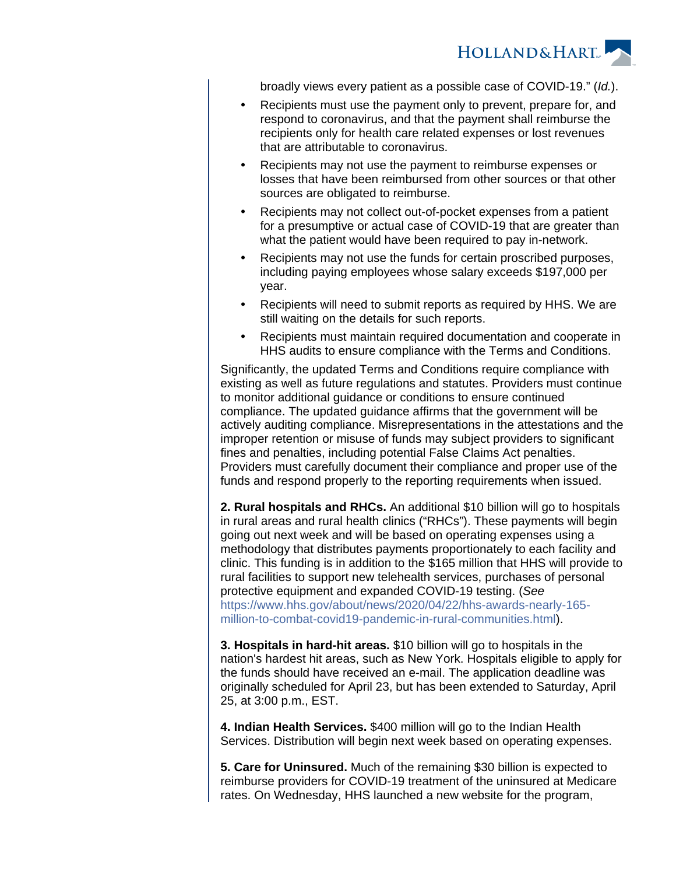

broadly views every patient as a possible case of COVID-19." (Id.).

- Recipients must use the payment only to prevent, prepare for, and respond to coronavirus, and that the payment shall reimburse the recipients only for health care related expenses or lost revenues that are attributable to coronavirus.
- Recipients may not use the payment to reimburse expenses or losses that have been reimbursed from other sources or that other sources are obligated to reimburse.
- Recipients may not collect out-of-pocket expenses from a patient for a presumptive or actual case of COVID-19 that are greater than what the patient would have been required to pay in-network.
- Recipients may not use the funds for certain proscribed purposes, including paying employees whose salary exceeds \$197,000 per year.
- Recipients will need to submit reports as required by HHS. We are still waiting on the details for such reports.
- Recipients must maintain required documentation and cooperate in HHS audits to ensure compliance with the Terms and Conditions.

Significantly, the updated Terms and Conditions require compliance with existing as well as future regulations and statutes. Providers must continue to monitor additional guidance or conditions to ensure continued compliance. The updated guidance affirms that the government will be actively auditing compliance. Misrepresentations in the attestations and the improper retention or misuse of funds may subject providers to significant fines and penalties, including potential False Claims Act penalties. Providers must carefully document their compliance and proper use of the funds and respond properly to the reporting requirements when issued.

**2. Rural hospitals and RHCs.** An additional \$10 billion will go to hospitals in rural areas and rural health clinics ("RHCs"). These payments will begin going out next week and will be based on operating expenses using a methodology that distributes payments proportionately to each facility and clinic. This funding is in addition to the \$165 million that HHS will provide to rural facilities to support new telehealth services, purchases of personal protective equipment and expanded COVID-19 testing. (See [https://www.hhs.gov/about/news/2020/04/22/hhs-awards-nearly-165](https://www.hhs.gov/about/news/2020/04/22/hhs-awards-nearly-165-million-to-combat-covid19-pandemic-in-rural-communities.html) [million-to-combat-covid19-pandemic-in-rural-communities.html\)](https://www.hhs.gov/about/news/2020/04/22/hhs-awards-nearly-165-million-to-combat-covid19-pandemic-in-rural-communities.html).

**3. Hospitals in hard-hit areas.** \$10 billion will go to hospitals in the nation's hardest hit areas, such as New York. Hospitals eligible to apply for the funds should have received an e-mail. The application deadline was originally scheduled for April 23, but has been extended to Saturday, April 25, at 3:00 p.m., EST.

**4. Indian Health Services.** \$400 million will go to the Indian Health Services. Distribution will begin next week based on operating expenses.

**5. Care for Uninsured.** Much of the remaining \$30 billion is expected to reimburse providers for COVID-19 treatment of the uninsured at Medicare rates. On Wednesday, HHS launched a new website for the program,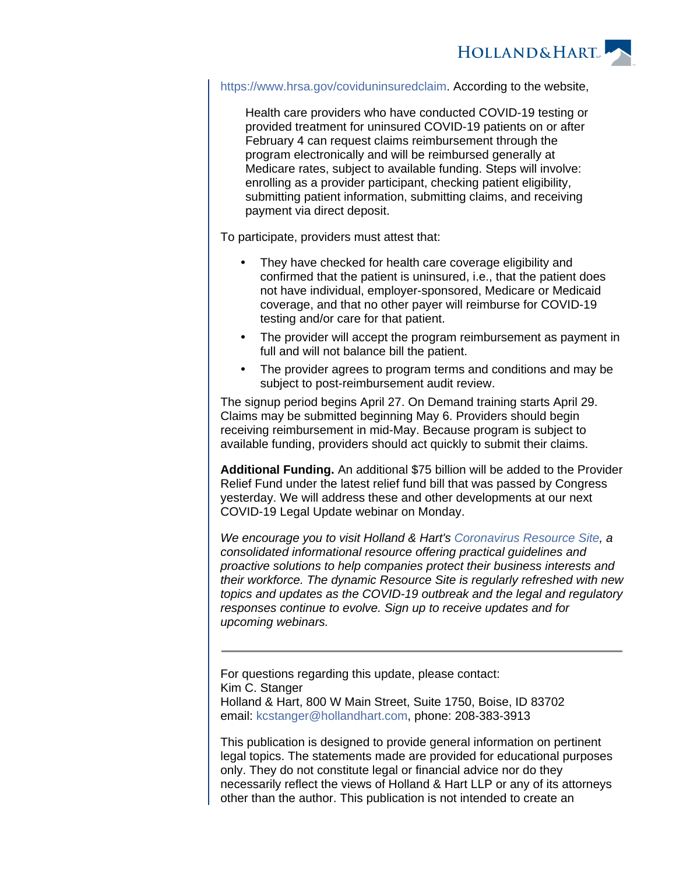

[https://www.hrsa.gov/coviduninsuredclaim.](https://www.hrsa.gov/coviduninsuredclaim) According to the website,

Health care providers who have conducted COVID-19 testing or provided treatment for uninsured COVID-19 patients on or after February 4 can request claims reimbursement through the program electronically and will be reimbursed generally at Medicare rates, subject to available funding. Steps will involve: enrolling as a provider participant, checking patient eligibility, submitting patient information, submitting claims, and receiving payment via direct deposit.

To participate, providers must attest that:

- They have checked for health care coverage eligibility and confirmed that the patient is uninsured, i.e., that the patient does not have individual, employer-sponsored, Medicare or Medicaid coverage, and that no other payer will reimburse for COVID-19 testing and/or care for that patient.
- The provider will accept the program reimbursement as payment in full and will not balance bill the patient.
- The provider agrees to program terms and conditions and may be subject to post-reimbursement audit review.

The signup period begins April 27. On Demand training starts April 29. Claims may be submitted beginning May 6. Providers should begin receiving reimbursement in mid-May. Because program is subject to available funding, providers should act quickly to submit their claims.

**Additional Funding.** An additional \$75 billion will be added to the Provider Relief Fund under the latest relief fund bill that was passed by Congress yesterday. We will address these and other developments at our next COVID-19 Legal Update webinar on Monday.

We encourage you to visit Holland & Hart's [Coronavirus Resource Site](https://experience.hollandhart.com/coronavirus-resource-site), a consolidated informational resource offering practical guidelines and proactive solutions to help companies protect their business interests and their workforce. The dynamic Resource Site is regularly refreshed with new topics and updates as the COVID-19 outbreak and the legal and regulatory responses continue to evolve. Sign up to receive updates and for upcoming webinars.

For questions regarding this update, please contact: Kim C. Stanger Holland & Hart, 800 W Main Street, Suite 1750, Boise, ID 83702 email: [kcstanger@hollandhart.com](mailto:kcstanger@hollandhart.com), phone: 208-383-3913

This publication is designed to provide general information on pertinent legal topics. The statements made are provided for educational purposes only. They do not constitute legal or financial advice nor do they necessarily reflect the views of Holland & Hart LLP or any of its attorneys other than the author. This publication is not intended to create an